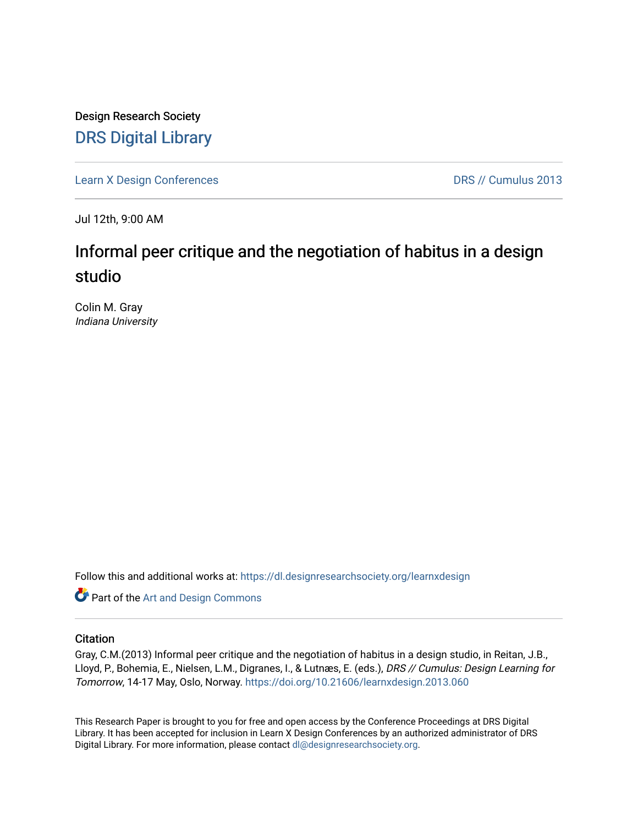Design Research Society [DRS Digital Library](https://dl.designresearchsociety.org/)

[Learn X Design Conferences](https://dl.designresearchsociety.org/learnxdesign) **DRS // Cumulus 2013** 

Jul 12th, 9:00 AM

# Informal peer critique and the negotiation of habitus in a design studio

Colin M. Gray Indiana University

Follow this and additional works at: [https://dl.designresearchsociety.org/learnxdesign](https://dl.designresearchsociety.org/learnxdesign?utm_source=dl.designresearchsociety.org%2Flearnxdesign%2Flearnxdesign2013%2Fresearchpapers%2F60&utm_medium=PDF&utm_campaign=PDFCoverPages)

**Part of the [Art and Design Commons](http://network.bepress.com/hgg/discipline/1049?utm_source=dl.designresearchsociety.org%2Flearnxdesign%2Flearnxdesign2013%2Fresearchpapers%2F60&utm_medium=PDF&utm_campaign=PDFCoverPages)** 

## **Citation**

Gray, C.M.(2013) Informal peer critique and the negotiation of habitus in a design studio, in Reitan, J.B., Lloyd, P., Bohemia, E., Nielsen, L.M., Digranes, I., & Lutnæs, E. (eds.), DRS // Cumulus: Design Learning for Tomorrow, 14-17 May, Oslo, Norway. <https://doi.org/10.21606/learnxdesign.2013.060>

This Research Paper is brought to you for free and open access by the Conference Proceedings at DRS Digital Library. It has been accepted for inclusion in Learn X Design Conferences by an authorized administrator of DRS Digital Library. For more information, please contact [dl@designresearchsociety.org](mailto:dl@designresearchsociety.org).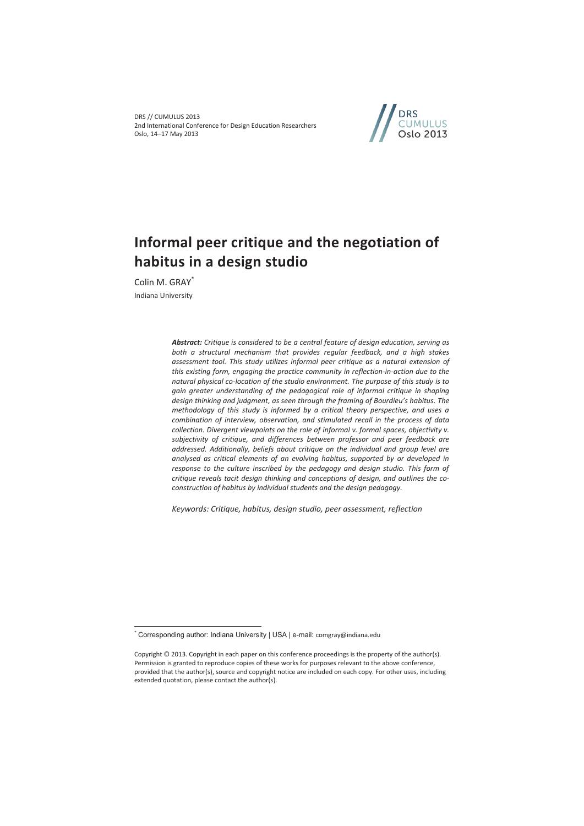DRS // CUMULUS 2013 2nd International Conference for Design Education Researchers Oslo, 14–17 May 2013



# **Informal peer critique and the negotiation of habitus in a design studio**

Colin M. GRAY\* Indiana University

 $\overline{a}$ 

*Abstract: Critique is considered to be a central feature of design education, serving as both a structural mechanism that provides regular feedback, and a high stakes assessment tool. This study utilizes informal peer critique as a natural extension of this existing form, engaging the practice community in reflection-in-action due to the natural physical co-location of the studio environment. The purpose of this study is to gain greater understanding of the pedagogical role of informal critique in shaping design thinking and judgment, as seen through the framing of Bourdieu's habitus. The methodology of this study is informed by a critical theory perspective, and uses a combination of interview, observation, and stimulated recall in the process of data collection. Divergent viewpoints on the role of informal v. formal spaces, objectivity v. subjectivity of critique, and differences between professor and peer feedback are addressed. Additionally, beliefs about critique on the individual and group level are analysed as critical elements of an evolving habitus, supported by or developed in response to the culture inscribed by the pedagogy and design studio. This form of critique reveals tacit design thinking and conceptions of design, and outlines the coconstruction of habitus by individual students and the design pedagogy.* 

*Keywords: Critique, habitus, design studio, peer assessment, reflection* 

<sup>\*</sup> Corresponding author: Indiana University | USA | e-mail: comgray@indiana.edu

Copyright © 2013. Copyright in each paper on this conference proceedings is the property of the author(s). Permission is granted to reproduce copies of these works for purposes relevant to the above conference, provided that the author(s), source and copyright notice are included on each copy. For other uses, including extended quotation, please contact the author(s).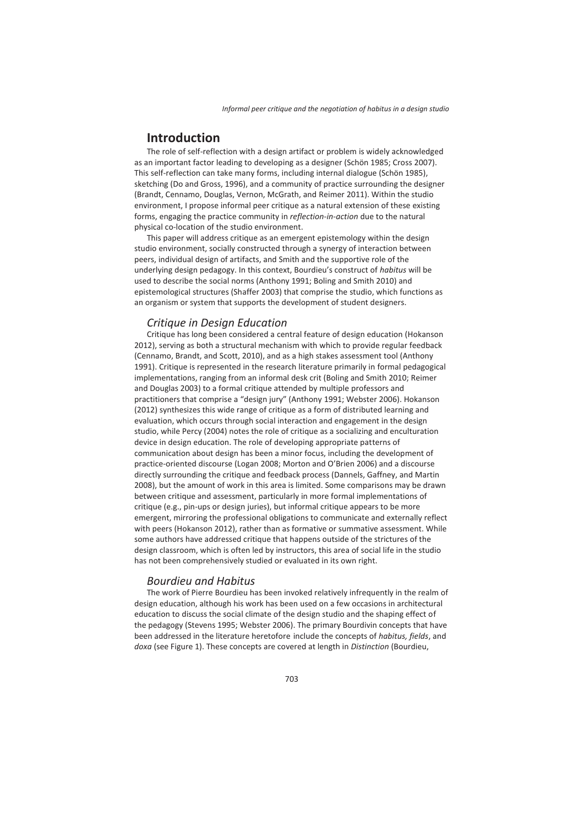## **Introduction**

The role of self-reflection with a design artifact or problem is widely acknowledged as an important factor leading to developing as a designer (Schön 1985; Cross 2007). This self-reflection can take many forms, including internal dialogue (Schön 1985), sketching (Do and Gross, 1996), and a community of practice surrounding the designer (Brandt, Cennamo, Douglas, Vernon, McGrath, and Reimer 2011). Within the studio environment, I propose informal peer critique as a natural extension of these existing forms, engaging the practice community in *reflection-in-action* due to the natural physical co-location of the studio environment.

This paper will address critique as an emergent epistemology within the design studio environment, socially constructed through a synergy of interaction between peers, individual design of artifacts, and Smith and the supportive role of the underlying design pedagogy. In this context, Bourdieu's construct of *habitus* will be used to describe the social norms (Anthony 1991; Boling and Smith 2010) and epistemological structures (Shaffer 2003) that comprise the studio, which functions as an organism or system that supports the development of student designers.

### *Critique in Design Education*

Critique has long been considered a central feature of design education (Hokanson 2012), serving as both a structural mechanism with which to provide regular feedback (Cennamo, Brandt, and Scott, 2010), and as a high stakes assessment tool (Anthony 1991). Critique is represented in the research literature primarily in formal pedagogical implementations, ranging from an informal desk crit (Boling and Smith 2010; Reimer and Douglas 2003) to a formal critique attended by multiple professors and practitioners that comprise a "design jury" (Anthony 1991; Webster 2006). Hokanson (2012) synthesizes this wide range of critique as a form of distributed learning and evaluation, which occurs through social interaction and engagement in the design studio, while Percy (2004) notes the role of critique as a socializing and enculturation device in design education. The role of developing appropriate patterns of communication about design has been a minor focus, including the development of practice-oriented discourse (Logan 2008; Morton and O'Brien 2006) and a discourse directly surrounding the critique and feedback process (Dannels, Gaffney, and Martin 2008), but the amount of work in this area is limited. Some comparisons may be drawn between critique and assessment, particularly in more formal implementations of critique (e.g., pin-ups or design juries), but informal critique appears to be more emergent, mirroring the professional obligations to communicate and externally reflect with peers (Hokanson 2012), rather than as formative or summative assessment. While some authors have addressed critique that happens outside of the strictures of the design classroom, which is often led by instructors, this area of social life in the studio has not been comprehensively studied or evaluated in its own right.

### *Bourdieu and Habitus*

The work of Pierre Bourdieu has been invoked relatively infrequently in the realm of design education, although his work has been used on a few occasions in architectural education to discuss the social climate of the design studio and the shaping effect of the pedagogy (Stevens 1995; Webster 2006). The primary Bourdivin concepts that have been addressed in the literature heretofore include the concepts of *habitus, fields*, and *doxa* (see Figure 1). These concepts are covered at length in *Distinction* (Bourdieu,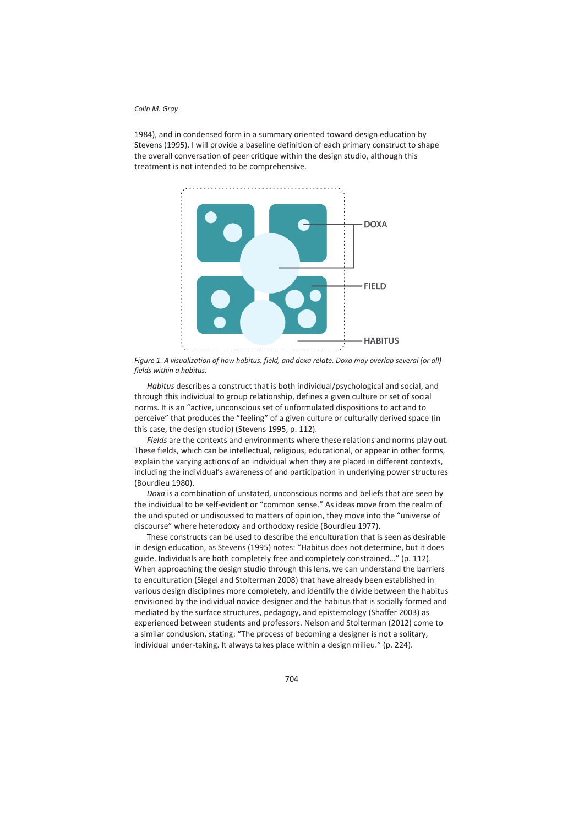1984), and in condensed form in a summary oriented toward design education by Stevens (1995). I will provide a baseline definition of each primary construct to shape the overall conversation of peer critique within the design studio, although this treatment is not intended to be comprehensive.



*Figure 1. A visualization of how habitus, field, and doxa relate. Doxa may overlap several (or all) fields within a habitus.* 

*Habitus* describes a construct that is both individual/psychological and social, and through this individual to group relationship, defines a given culture or set of social norms. It is an "active, unconscious set of unformulated dispositions to act and to perceive" that produces the "feeling" of a given culture or culturally derived space (in this case, the design studio) (Stevens 1995, p. 112).

*Fields* are the contexts and environments where these relations and norms play out. These fields, which can be intellectual, religious, educational, or appear in other forms, explain the varying actions of an individual when they are placed in different contexts, including the individual's awareness of and participation in underlying power structures (Bourdieu 1980).

*Doxa* is a combination of unstated, unconscious norms and beliefs that are seen by the individual to be self-evident or "common sense." As ideas move from the realm of the undisputed or undiscussed to matters of opinion, they move into the "universe of discourse" where heterodoxy and orthodoxy reside (Bourdieu 1977).

These constructs can be used to describe the enculturation that is seen as desirable in design education, as Stevens (1995) notes: "Habitus does not determine, but it does guide. Individuals are both completely free and completely constrained…" (p. 112). When approaching the design studio through this lens, we can understand the barriers to enculturation (Siegel and Stolterman 2008) that have already been established in various design disciplines more completely, and identify the divide between the habitus envisioned by the individual novice designer and the habitus that is socially formed and mediated by the surface structures, pedagogy, and epistemology (Shaffer 2003) as experienced between students and professors. Nelson and Stolterman (2012) come to a similar conclusion, stating: "The process of becoming a designer is not a solitary, individual under-taking. It always takes place within a design milieu." (p. 224).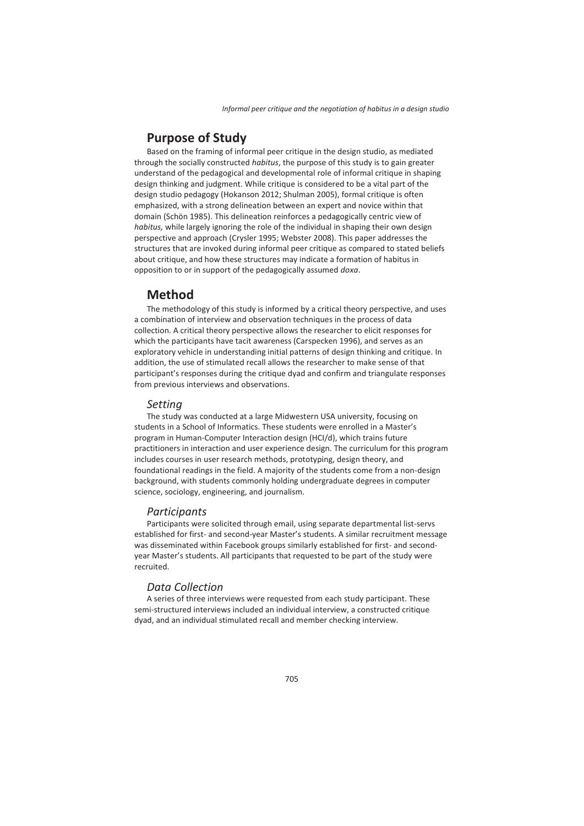## **Purpose of Study**

Based on the framing of informal peer critique in the design studio, as mediated through the socially constructed *habitus*, the purpose of this study is to gain greater understand of the pedagogical and developmental role of informal critique in shaping design thinking and judgment. While critique is considered to be a vital part of the design studio pedagogy (Hokanson 2012; Shulman 2005), formal critique is often emphasized, with a strong delineation between an expert and novice within that domain (Schön 1985). This delineation reinforces a pedagogically centric view of *habitus,* while largely ignoring the role of the individual in shaping their own design perspective and approach (Crysler 1995; Webster 2008). This paper addresses the structures that are invoked during informal peer critique as compared to stated beliefs about critique, and how these structures may indicate a formation of habitus in opposition to or in support of the pedagogically assumed *doxa*.

## **Method**

The methodology of this study is informed by a critical theory perspective, and uses a combination of interview and observation techniques in the process of data collection. A critical theory perspective allows the researcher to elicit responses for which the participants have tacit awareness (Carspecken 1996), and serves as an exploratory vehicle in understanding initial patterns of design thinking and critique. In addition, the use of stimulated recall allows the researcher to make sense of that participant's responses during the critique dyad and confirm and triangulate responses from previous interviews and observations.

### *Setting*

The study was conducted at a large Midwestern USA university, focusing on students in a School of Informatics. These students were enrolled in a Master's program in Human-Computer Interaction design (HCI/d), which trains future practitioners in interaction and user experience design. The curriculum for this program includes courses in user research methods, prototyping, design theory, and foundational readings in the field. A majority of the students come from a non-design background, with students commonly holding undergraduate degrees in computer science, sociology, engineering, and journalism.

### *Participants*

Participants were solicited through email, using separate departmental list-servs established for first- and second-year Master's students. A similar recruitment message was disseminated within Facebook groups similarly established for first- and secondyear Master's students. All participants that requested to be part of the study were recruited.

## *Data Collection*

A series of three interviews were requested from each study participant. These semi-structured interviews included an individual interview, a constructed critique dyad, and an individual stimulated recall and member checking interview.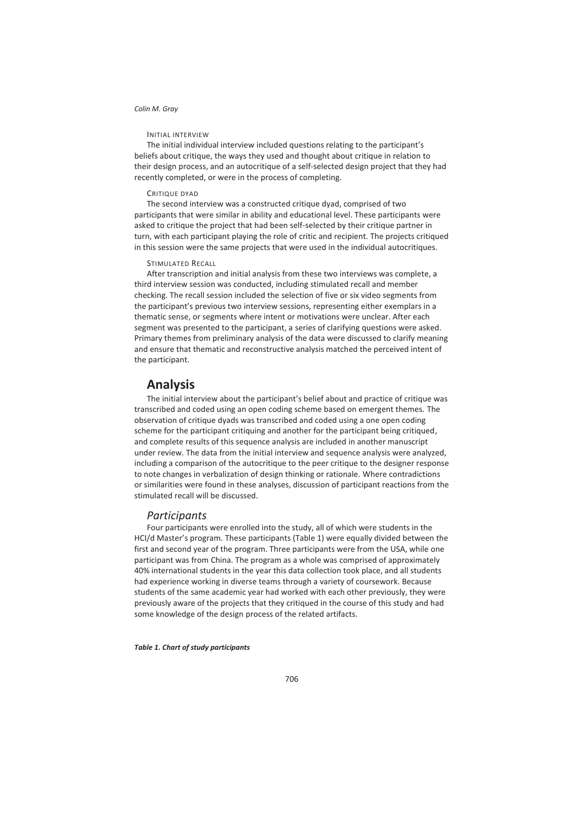### INITIAL INTERVIEW

The initial individual interview included questions relating to the participant's beliefs about critique, the ways they used and thought about critique in relation to their design process, and an autocritique of a self-selected design project that they had recently completed, or were in the process of completing.

#### CRITIQUE DYAD

The second interview was a constructed critique dyad, comprised of two participants that were similar in ability and educational level. These participants were asked to critique the project that had been self-selected by their critique partner in turn, with each participant playing the role of critic and recipient. The projects critiqued in this session were the same projects that were used in the individual autocritiques.

#### STIMULATED RECALL

After transcription and initial analysis from these two interviews was complete, a third interview session was conducted, including stimulated recall and member checking. The recall session included the selection of five or six video segments from the participant's previous two interview sessions, representing either exemplars in a thematic sense, or segments where intent or motivations were unclear. After each segment was presented to the participant, a series of clarifying questions were asked. Primary themes from preliminary analysis of the data were discussed to clarify meaning and ensure that thematic and reconstructive analysis matched the perceived intent of the participant.

### **Analysis**

The initial interview about the participant's belief about and practice of critique was transcribed and coded using an open coding scheme based on emergent themes. The observation of critique dyads was transcribed and coded using a one open coding scheme for the participant critiquing and another for the participant being critiqued, and complete results of this sequence analysis are included in another manuscript under review. The data from the initial interview and sequence analysis were analyzed, including a comparison of the autocritique to the peer critique to the designer response to note changes in verbalization of design thinking or rationale. Where contradictions or similarities were found in these analyses, discussion of participant reactions from the stimulated recall will be discussed.

### *Participants*

Four participants were enrolled into the study, all of which were students in the HCI/d Master's program. These participants (Table 1) were equally divided between the first and second year of the program. Three participants were from the USA, while one participant was from China. The program as a whole was comprised of approximately 40% international students in the year this data collection took place, and all students had experience working in diverse teams through a variety of coursework. Because students of the same academic year had worked with each other previously, they were previously aware of the projects that they critiqued in the course of this study and had some knowledge of the design process of the related artifacts.

#### *Table 1. Chart of study participants*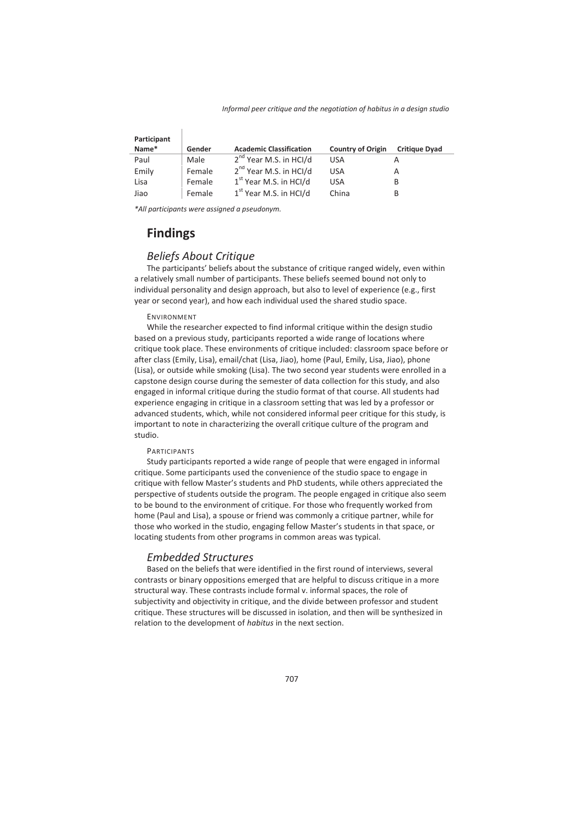| Participant |        |                                    |                          |                      |
|-------------|--------|------------------------------------|--------------------------|----------------------|
| Name*       | Gender | <b>Academic Classification</b>     | <b>Country of Origin</b> | <b>Critique Dyad</b> |
| Paul        | Male   | 2 <sup>nd</sup> Year M.S. in HCl/d | USA                      |                      |
| Emily       | Female | 2 <sup>nd</sup> Year M.S. in HCl/d | USA                      | А                    |
| Lisa        | Female | $1st$ Year M.S. in HCl/d           | USA                      | B                    |
| Jiao        | Female | $1st$ Year M.S. in HCI/d           | China                    | B                    |

*\*All participants were assigned a pseudonym.* 

## **Findings**

### *Beliefs About Critique*

The participants' beliefs about the substance of critique ranged widely, even within a relatively small number of participants. These beliefs seemed bound not only to individual personality and design approach, but also to level of experience (e.g., first year or second year), and how each individual used the shared studio space.

### ENVIRONMENT

While the researcher expected to find informal critique within the design studio based on a previous study, participants reported a wide range of locations where critique took place. These environments of critique included: classroom space before or after class (Emily, Lisa), email/chat (Lisa, Jiao), home (Paul, Emily, Lisa, Jiao), phone (Lisa), or outside while smoking (Lisa). The two second year students were enrolled in a capstone design course during the semester of data collection for this study, and also engaged in informal critique during the studio format of that course. All students had experience engaging in critique in a classroom setting that was led by a professor or advanced students, which, while not considered informal peer critique for this study, is important to note in characterizing the overall critique culture of the program and studio.

### PARTICIPANTS

Study participants reported a wide range of people that were engaged in informal critique. Some participants used the convenience of the studio space to engage in critique with fellow Master's students and PhD students, while others appreciated the perspective of students outside the program. The people engaged in critique also seem to be bound to the environment of critique. For those who frequently worked from home (Paul and Lisa), a spouse or friend was commonly a critique partner, while for those who worked in the studio, engaging fellow Master's students in that space, or locating students from other programs in common areas was typical.

### *Embedded Structures*

Based on the beliefs that were identified in the first round of interviews, several contrasts or binary oppositions emerged that are helpful to discuss critique in a more structural way. These contrasts include formal v. informal spaces, the role of subjectivity and objectivity in critique, and the divide between professor and student critique. These structures will be discussed in isolation, and then will be synthesized in relation to the development of *habitus* in the next section.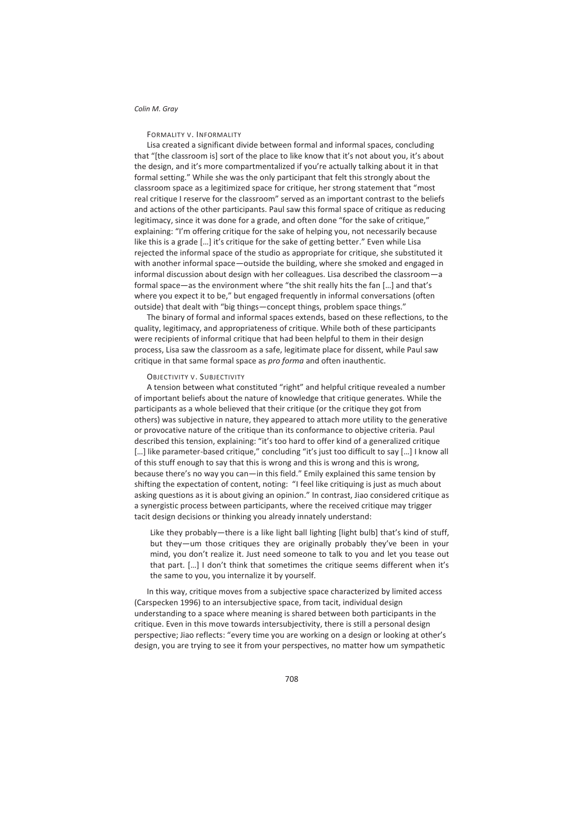### FORMALITY V. INFORMALITY

Lisa created a significant divide between formal and informal spaces, concluding that "[the classroom is] sort of the place to like know that it's not about you, it's about the design, and it's more compartmentalized if you're actually talking about it in that formal setting." While she was the only participant that felt this strongly about the classroom space as a legitimized space for critique, her strong statement that "most real critique I reserve for the classroom" served as an important contrast to the beliefs and actions of the other participants. Paul saw this formal space of critique as reducing legitimacy, since it was done for a grade, and often done "for the sake of critique," explaining: "I'm offering critique for the sake of helping you, not necessarily because like this is a grade […] it's critique for the sake of getting better." Even while Lisa rejected the informal space of the studio as appropriate for critique, she substituted it with another informal space—outside the building, where she smoked and engaged in informal discussion about design with her colleagues. Lisa described the classroom—a formal space—as the environment where "the shit really hits the fan […] and that's where you expect it to be," but engaged frequently in informal conversations (often outside) that dealt with "big things—concept things, problem space things."

The binary of formal and informal spaces extends, based on these reflections, to the quality, legitimacy, and appropriateness of critique. While both of these participants were recipients of informal critique that had been helpful to them in their design process, Lisa saw the classroom as a safe, legitimate place for dissent, while Paul saw critique in that same formal space as *pro forma* and often inauthentic.

### OBJECTIVITY V. SUBJECTIVITY

A tension between what constituted "right" and helpful critique revealed a number of important beliefs about the nature of knowledge that critique generates. While the participants as a whole believed that their critique (or the critique they got from others) was subjective in nature, they appeared to attach more utility to the generative or provocative nature of the critique than its conformance to objective criteria. Paul described this tension, explaining: "it's too hard to offer kind of a generalized critique [...] like parameter-based critique," concluding "it's just too difficult to say [...] I know all of this stuff enough to say that this is wrong and this is wrong and this is wrong, because there's no way you can—in this field." Emily explained this same tension by shifting the expectation of content, noting: "I feel like critiquing is just as much about asking questions as it is about giving an opinion." In contrast, Jiao considered critique as a synergistic process between participants, where the received critique may trigger tacit design decisions or thinking you already innately understand:

Like they probably—there is a like light ball lighting [light bulb] that's kind of stuff, but they—um those critiques they are originally probably they've been in your mind, you don't realize it. Just need someone to talk to you and let you tease out that part. […] I don't think that sometimes the critique seems different when it's the same to you, you internalize it by yourself.

In this way, critique moves from a subjective space characterized by limited access (Carspecken 1996) to an intersubjective space, from tacit, individual design understanding to a space where meaning is shared between both participants in the critique. Even in this move towards intersubjectivity, there is still a personal design perspective; Jiao reflects: "every time you are working on a design or looking at other's design, you are trying to see it from your perspectives, no matter how um sympathetic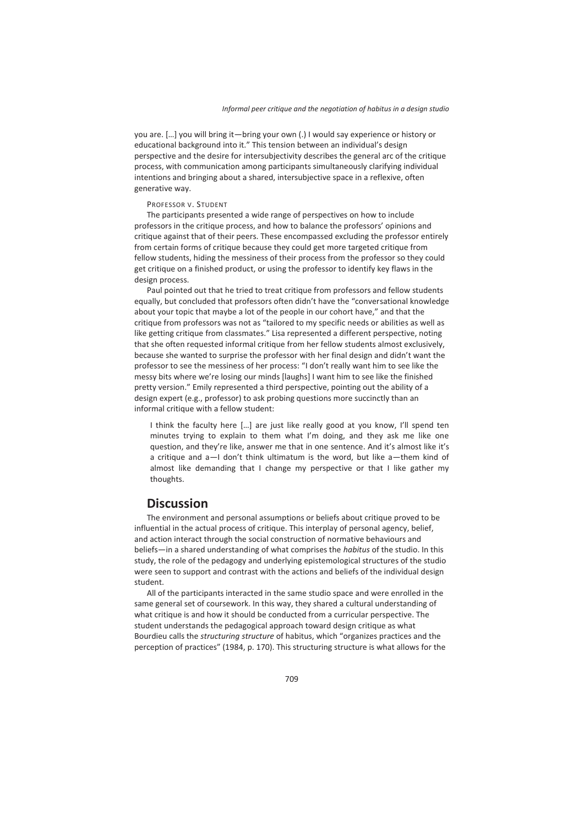you are. […] you will bring it—bring your own (.) I would say experience or history or educational background into it." This tension between an individual's design perspective and the desire for intersubjectivity describes the general arc of the critique process, with communication among participants simultaneously clarifying individual intentions and bringing about a shared, intersubjective space in a reflexive, often generative way.

#### PROFESSOR V. STUDENT

The participants presented a wide range of perspectives on how to include professors in the critique process, and how to balance the professors' opinions and critique against that of their peers. These encompassed excluding the professor entirely from certain forms of critique because they could get more targeted critique from fellow students, hiding the messiness of their process from the professor so they could get critique on a finished product, or using the professor to identify key flaws in the design process.

Paul pointed out that he tried to treat critique from professors and fellow students equally, but concluded that professors often didn't have the "conversational knowledge about your topic that maybe a lot of the people in our cohort have," and that the critique from professors was not as "tailored to my specific needs or abilities as well as like getting critique from classmates." Lisa represented a different perspective, noting that she often requested informal critique from her fellow students almost exclusively, because she wanted to surprise the professor with her final design and didn't want the professor to see the messiness of her process: "I don't really want him to see like the messy bits where we're losing our minds [laughs] I want him to see like the finished pretty version." Emily represented a third perspective, pointing out the ability of a design expert (e.g., professor) to ask probing questions more succinctly than an informal critique with a fellow student:

I think the faculty here […] are just like really good at you know, I'll spend ten minutes trying to explain to them what I'm doing, and they ask me like one question, and they're like, answer me that in one sentence. And it's almost like it's a critique and a—I don't think ultimatum is the word, but like a—them kind of almost like demanding that I change my perspective or that I like gather my thoughts.

## **Discussion**

The environment and personal assumptions or beliefs about critique proved to be influential in the actual process of critique. This interplay of personal agency, belief, and action interact through the social construction of normative behaviours and beliefs—in a shared understanding of what comprises the *habitus* of the studio. In this study, the role of the pedagogy and underlying epistemological structures of the studio were seen to support and contrast with the actions and beliefs of the individual design student.

All of the participants interacted in the same studio space and were enrolled in the same general set of coursework. In this way, they shared a cultural understanding of what critique is and how it should be conducted from a curricular perspective. The student understands the pedagogical approach toward design critique as what Bourdieu calls the *structuring structure* of habitus, which "organizes practices and the perception of practices" (1984, p. 170). This structuring structure is what allows for the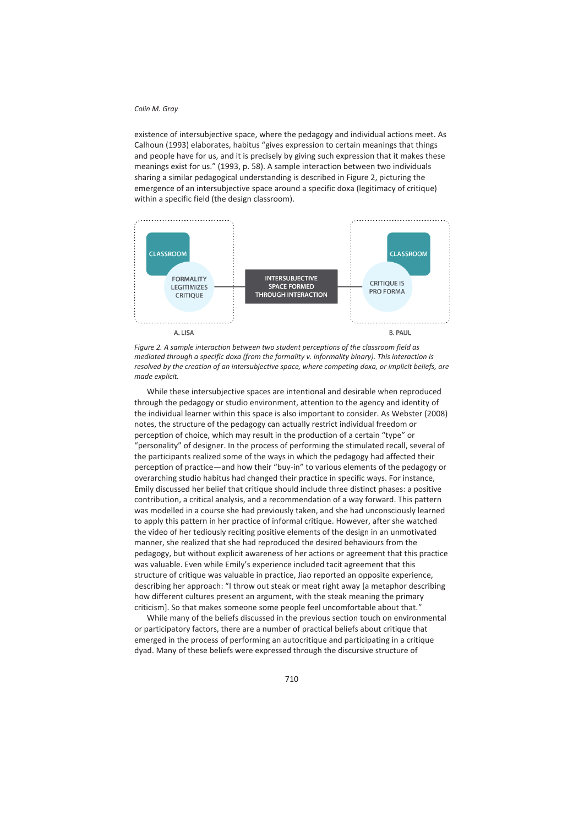existence of intersubjective space, where the pedagogy and individual actions meet. As Calhoun (1993) elaborates, habitus "gives expression to certain meanings that things and people have for us, and it is precisely by giving such expression that it makes these meanings exist for us." (1993, p. 58). A sample interaction between two individuals sharing a similar pedagogical understanding is described in Figure 2, picturing the emergence of an intersubjective space around a specific doxa (legitimacy of critique) within a specific field (the design classroom).



*Figure 2. A sample interaction between two student perceptions of the classroom field as mediated through a specific doxa (from the formality v. informality binary). This interaction is resolved by the creation of an intersubjective space, where competing doxa, or implicit beliefs, are made explicit.* 

While these intersubjective spaces are intentional and desirable when reproduced through the pedagogy or studio environment, attention to the agency and identity of the individual learner within this space is also important to consider. As Webster (2008) notes, the structure of the pedagogy can actually restrict individual freedom or perception of choice, which may result in the production of a certain "type" or "personality" of designer. In the process of performing the stimulated recall, several of the participants realized some of the ways in which the pedagogy had affected their perception of practice—and how their "buy-in" to various elements of the pedagogy or overarching studio habitus had changed their practice in specific ways. For instance, Emily discussed her belief that critique should include three distinct phases: a positive contribution, a critical analysis, and a recommendation of a way forward. This pattern was modelled in a course she had previously taken, and she had unconsciously learned to apply this pattern in her practice of informal critique. However, after she watched the video of her tediously reciting positive elements of the design in an unmotivated manner, she realized that she had reproduced the desired behaviours from the pedagogy, but without explicit awareness of her actions or agreement that this practice was valuable. Even while Emily's experience included tacit agreement that this structure of critique was valuable in practice, Jiao reported an opposite experience, describing her approach: "I throw out steak or meat right away [a metaphor describing how different cultures present an argument, with the steak meaning the primary criticism]. So that makes someone some people feel uncomfortable about that."

While many of the beliefs discussed in the previous section touch on environmental or participatory factors, there are a number of practical beliefs about critique that emerged in the process of performing an autocritique and participating in a critique dyad. Many of these beliefs were expressed through the discursive structure of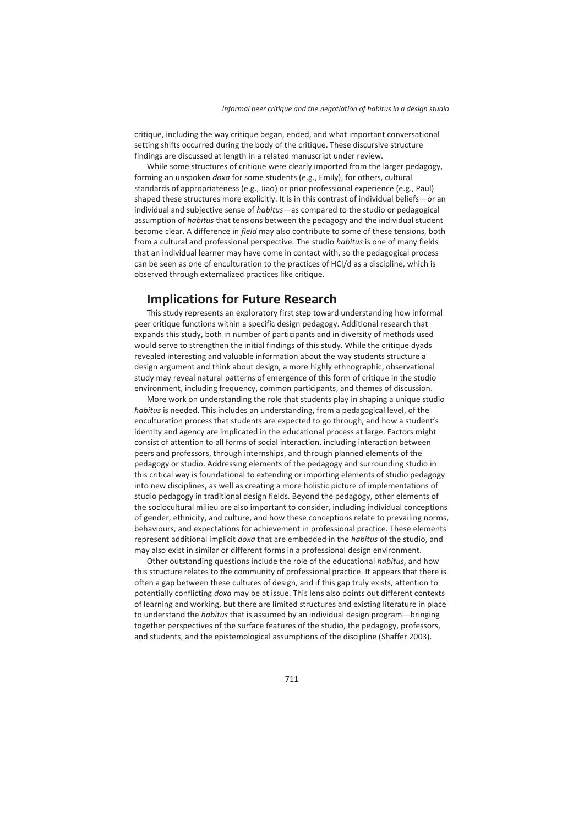critique, including the way critique began, ended, and what important conversational setting shifts occurred during the body of the critique. These discursive structure findings are discussed at length in a related manuscript under review.

While some structures of critique were clearly imported from the larger pedagogy, forming an unspoken *doxa* for some students (e.g., Emily), for others, cultural standards of appropriateness (e.g., Jiao) or prior professional experience (e.g., Paul) shaped these structures more explicitly. It is in this contrast of individual beliefs—or an individual and subjective sense of *habitus*—as compared to the studio or pedagogical assumption of *habitus* that tensions between the pedagogy and the individual student become clear. A difference in *field* may also contribute to some of these tensions, both from a cultural and professional perspective. The studio *habitus* is one of many fields that an individual learner may have come in contact with, so the pedagogical process can be seen as one of enculturation to the practices of HCI/d as a discipline, which is observed through externalized practices like critique.

## **Implications for Future Research**

This study represents an exploratory first step toward understanding how informal peer critique functions within a specific design pedagogy. Additional research that expands this study, both in number of participants and in diversity of methods used would serve to strengthen the initial findings of this study. While the critique dyads revealed interesting and valuable information about the way students structure a design argument and think about design, a more highly ethnographic, observational study may reveal natural patterns of emergence of this form of critique in the studio environment, including frequency, common participants, and themes of discussion.

More work on understanding the role that students play in shaping a unique studio *habitus* is needed. This includes an understanding, from a pedagogical level, of the enculturation process that students are expected to go through, and how a student's identity and agency are implicated in the educational process at large. Factors might consist of attention to all forms of social interaction, including interaction between peers and professors, through internships, and through planned elements of the pedagogy or studio. Addressing elements of the pedagogy and surrounding studio in this critical way is foundational to extending or importing elements of studio pedagogy into new disciplines, as well as creating a more holistic picture of implementations of studio pedagogy in traditional design fields. Beyond the pedagogy, other elements of the sociocultural milieu are also important to consider, including individual conceptions of gender, ethnicity, and culture, and how these conceptions relate to prevailing norms, behaviours, and expectations for achievement in professional practice. These elements represent additional implicit *doxa* that are embedded in the *habitus* of the studio, and may also exist in similar or different forms in a professional design environment.

Other outstanding questions include the role of the educational *habitus*, and how this structure relates to the community of professional practice. It appears that there is often a gap between these cultures of design, and if this gap truly exists, attention to potentially conflicting *doxa* may be at issue. This lens also points out different contexts of learning and working, but there are limited structures and existing literature in place to understand the *habitus* that is assumed by an individual design program—bringing together perspectives of the surface features of the studio, the pedagogy, professors, and students, and the epistemological assumptions of the discipline (Shaffer 2003).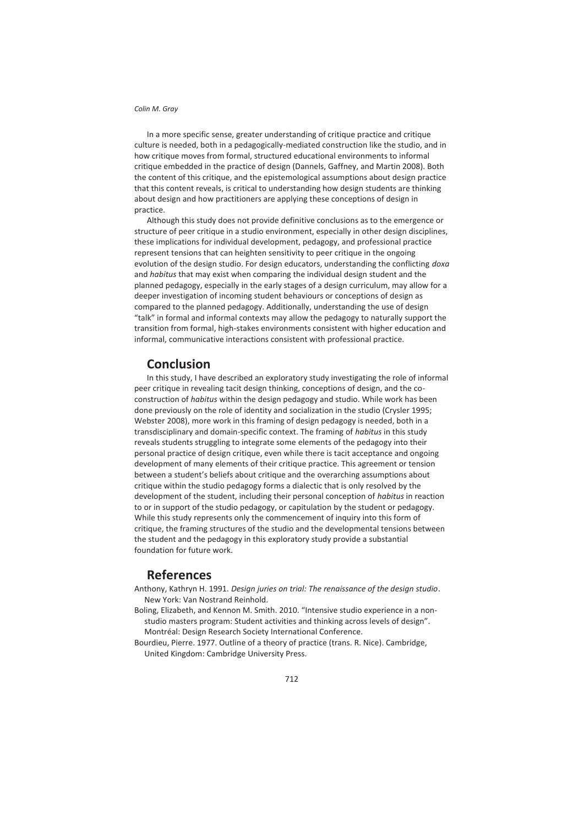In a more specific sense, greater understanding of critique practice and critique culture is needed, both in a pedagogically-mediated construction like the studio, and in how critique moves from formal, structured educational environments to informal critique embedded in the practice of design (Dannels, Gaffney, and Martin 2008). Both the content of this critique, and the epistemological assumptions about design practice that this content reveals, is critical to understanding how design students are thinking about design and how practitioners are applying these conceptions of design in practice.

Although this study does not provide definitive conclusions as to the emergence or structure of peer critique in a studio environment, especially in other design disciplines, these implications for individual development, pedagogy, and professional practice represent tensions that can heighten sensitivity to peer critique in the ongoing evolution of the design studio. For design educators, understanding the conflicting *doxa* and *habitus* that may exist when comparing the individual design student and the planned pedagogy, especially in the early stages of a design curriculum, may allow for a deeper investigation of incoming student behaviours or conceptions of design as compared to the planned pedagogy. Additionally, understanding the use of design "talk" in formal and informal contexts may allow the pedagogy to naturally support the transition from formal, high-stakes environments consistent with higher education and informal, communicative interactions consistent with professional practice.

## **Conclusion**

In this study, I have described an exploratory study investigating the role of informal peer critique in revealing tacit design thinking, conceptions of design, and the coconstruction of *habitus* within the design pedagogy and studio. While work has been done previously on the role of identity and socialization in the studio (Crysler 1995; Webster 2008), more work in this framing of design pedagogy is needed, both in a transdisciplinary and domain-specific context. The framing of *habitus* in this study reveals students struggling to integrate some elements of the pedagogy into their personal practice of design critique, even while there is tacit acceptance and ongoing development of many elements of their critique practice. This agreement or tension between a student's beliefs about critique and the overarching assumptions about critique within the studio pedagogy forms a dialectic that is only resolved by the development of the student, including their personal conception of *habitus* in reaction to or in support of the studio pedagogy, or capitulation by the student or pedagogy. While this study represents only the commencement of inquiry into this form of critique, the framing structures of the studio and the developmental tensions between the student and the pedagogy in this exploratory study provide a substantial foundation for future work.

## **References**

- Anthony, Kathryn H. 1991. *Design juries on trial: The renaissance of the design studio*. New York: Van Nostrand Reinhold.
- Boling, Elizabeth, and Kennon M. Smith. 2010. "Intensive studio experience in a nonstudio masters program: Student activities and thinking across levels of design". Montréal: Design Research Society International Conference.
- Bourdieu, Pierre. 1977. Outline of a theory of practice (trans. R. Nice). Cambridge, United Kingdom: Cambridge University Press.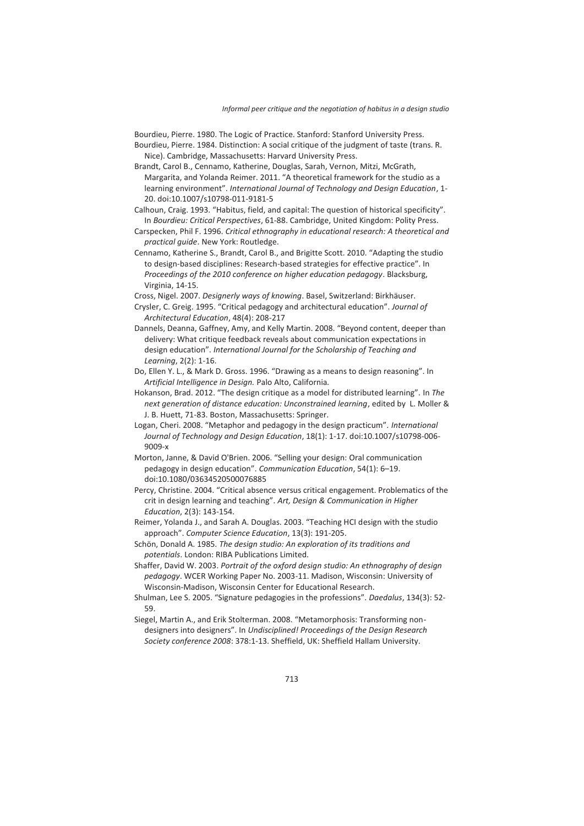Bourdieu, Pierre. 1980. The Logic of Practice. Stanford: Stanford University Press.

- Bourdieu, Pierre. 1984. Distinction: A social critique of the judgment of taste (trans. R. Nice). Cambridge, Massachusetts: Harvard University Press.
- Brandt, Carol B., Cennamo, Katherine, Douglas, Sarah, Vernon, Mitzi, McGrath, Margarita, and Yolanda Reimer. 2011. "A theoretical framework for the studio as a learning environment". *International Journal of Technology and Design Education*, 1- 20. doi:10.1007/s10798-011-9181-5
- Calhoun, Craig. 1993. "Habitus, field, and capital: The question of historical specificity". In *Bourdieu: Critical Perspectives*, 61-88. Cambridge, United Kingdom: Polity Press.
- Carspecken, Phil F. 1996. *Critical ethnography in educational research: A theoretical and practical guide*. New York: Routledge.
- Cennamo, Katherine S., Brandt, Carol B., and Brigitte Scott. 2010. "Adapting the studio to design-based disciplines: Research-based strategies for effective practice". In *Proceedings of the 2010 conference on higher education pedagogy*. Blacksburg, Virginia, 14-15.

Cross, Nigel. 2007. *Designerly ways of knowing*. Basel, Switzerland: Birkhäuser.

- Crysler, C. Greig. 1995. "Critical pedagogy and architectural education". *Journal of Architectural Education*, 48(4): 208-217
- Dannels, Deanna, Gaffney, Amy, and Kelly Martin. 2008. "Beyond content, deeper than delivery: What critique feedback reveals about communication expectations in design education". *International Journal for the Scholarship of Teaching and Learning*, 2(2): 1-16.
- Do, Ellen Y. L., & Mark D. Gross. 1996. "Drawing as a means to design reasoning". In *Artificial Intelligence in Design.* Palo Alto, California*.*
- Hokanson, Brad. 2012. "The design critique as a model for distributed learning". In *The next generation of distance education: Unconstrained learning*, edited by L. Moller & J. B. Huett, 71-83. Boston, Massachusetts: Springer.
- Logan, Cheri. 2008. "Metaphor and pedagogy in the design practicum". *International Journal of Technology and Design Education*, 18(1): 1-17. doi:10.1007/s10798-006- 9009-x
- Morton, Janne, & David O'Brien. 2006. "Selling your design: Oral communication pedagogy in design education". *Communication Education*, 54(1): 6–19. doi:10.1080/03634520500076885
- Percy, Christine. 2004. "Critical absence versus critical engagement. Problematics of the crit in design learning and teaching". *Art, Design & Communication in Higher Education*, 2(3): 143-154.
- Reimer, Yolanda J., and Sarah A. Douglas. 2003. "Teaching HCI design with the studio approach". *Computer Science Education*, 13(3): 191-205.
- Schön, Donald A. 1985. *The design studio: An exploration of its traditions and potentials*. London: RIBA Publications Limited.
- Shaffer, David W. 2003. *Portrait of the oxford design studio: An ethnography of design pedagogy*. WCER Working Paper No. 2003-11. Madison, Wisconsin: University of Wisconsin-Madison, Wisconsin Center for Educational Research.
- Shulman, Lee S. 2005. "Signature pedagogies in the professions". *Daedalus*, 134(3): 52- 59.
- Siegel, Martin A., and Erik Stolterman. 2008. "Metamorphosis: Transforming nondesigners into designers". In *Undisciplined! Proceedings of the Design Research Society conference 2008*: 378:1-13. Sheffield, UK: Sheffield Hallam University.